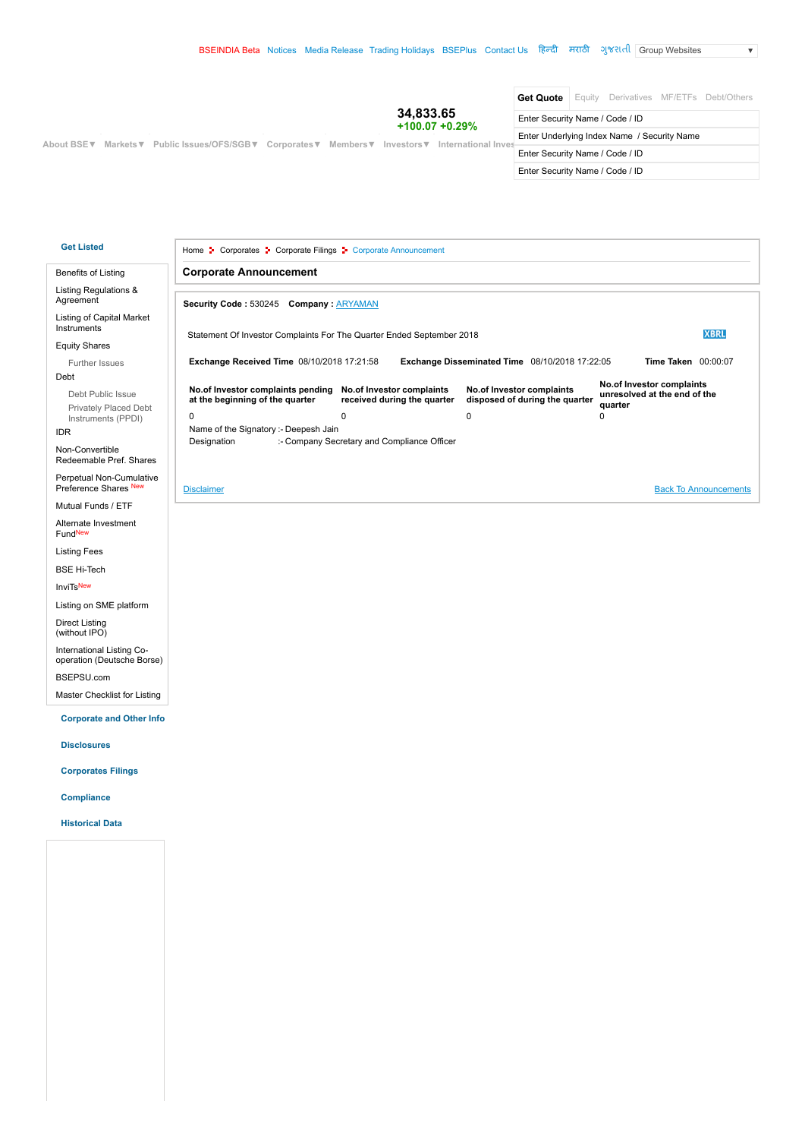$\overline{\mathbf{v}}$ 

| Get Quote                                                                                                  | Equity Derivatives MF/ETFs Debt/Others      |  |  |
|------------------------------------------------------------------------------------------------------------|---------------------------------------------|--|--|
| 34,833.65<br>Enter Security Name / Code / ID<br>$+100.07 + 0.29\%$                                         |                                             |  |  |
| About BSE V Markets V Public Issues/OFS/SGB V Corporates V Members V Investors V International Investors V | Enter Underlying Index Name / Security Name |  |  |
| Enter Security Name / Code / ID                                                                            |                                             |  |  |
| Enter Security Name / Code / ID                                                                            |                                             |  |  |

### **Get Listed**

[Home](https://www.bseindia.com/) <sup>1</sup> Corporates <sup>1</sup> Corporate Filings <sup>1</sup> Corporate Announcement

## [Benefits of Listing](https://www.bseindia.com/Static/about/benefits.aspx?expandable=0)

# [Listing Regulations &](https://www.bseindia.com/downloads1/LODR_2015_&Agreement.zip) Agreement

Listing of Capital Market Instruments

#### [Equity Shares](https://www.bseindia.com/Static/about/Ipo_Fpo.aspx?expandable=0)

[Further Issues](https://www.bseindia.com/Static/about/furtherissues_new.aspx?expandable=0) Debt

> [Debt Public Issue](https://www.bseindia.com/Static/about/debt_issues.aspx?expandable=0) [Privately Placed Debt](https://www.bseindia.com/Static/about/PPDI.aspx?expandable=0) Instruments (PPDI)

### [IDR](https://www.bseindia.com/Static/about/Listing_Agreement.aspx?expandable=0)

Non-Convertible [Redeemable Pref. Shares](https://www.bseindia.com/Static/about/Non_Covprefrefshares.aspx?expandable=0)

[Perpetual Non-Cumulative](https://www.bseindia.com/Static/about/perpetual_Non_Covprefrefshares.aspx?expandable=0) Preference Shares New

[Mutual Funds / ETF](https://www.bseindia.com/Static/about/Listing_of_ETF.aspx?expandable=0)

[Alternate Investment](https://www.bseindia.com/Static/about/alternative_investment_funds.aspx?expandable=0) FundNew

[Listing Fees](https://www.bseindia.com/Static/about/listing_fees.aspx?expandable=0)

[BSE Hi-Tech](http://www.bsehitech.com/)

**[InviTs](https://www.bseindia.com/Static/about/invITs.aspx?expandable=0)**New

[Listing on SME platform](https://www.bsesme.com/static/getlisted/listingprocedure.aspx?expandable=0)

[Direct Listing](https://www.bseindia.com/Static/about/Direct_Listing_on_BSE.aspx?expandable=0)  (without IPO)

International Listing Co-[operation \(Deutsche Borse\)](https://www.bseindia.com/Static/about/bse_deutsche.aspx?expandable=0)

[BSEPSU.com](http://www.bsepsu.com/)

[Master Checklist for Listing](https://www.bseindia.com/markets/MarketInfo/DispNewNoticesCirculars.aspx?page=20180228-34)

 **Corporate and Other Info**

 **Disclosures**

 **Corporates Filings**

 **Compliance**

 **Historical Data**

| <b>Security Code: 530245 Company: ARYAMAN</b>                         |                                                          |                                                             |                                                                      |             |
|-----------------------------------------------------------------------|----------------------------------------------------------|-------------------------------------------------------------|----------------------------------------------------------------------|-------------|
| Statement Of Investor Complaints For The Quarter Ended September 2018 |                                                          |                                                             |                                                                      | <b>XBRL</b> |
| <b>Exchange Received Time 08/10/2018 17:21:58</b>                     |                                                          | Exchange Disseminated Time 08/10/2018 17:22:05              | <b>Time Taken</b> 00:00:07                                           |             |
| No.of Investor complaints pending<br>at the beginning of the quarter  | No.of Investor complaints<br>received during the quarter | No.of Investor complaints<br>disposed of during the quarter | No.of Investor complaints<br>unresolved at the end of the<br>quarter |             |
|                                                                       | $\Omega$                                                 | $\Omega$                                                    | 0                                                                    |             |
| 0                                                                     |                                                          |                                                             |                                                                      |             |
| Name of the Signatory :- Deepesh Jain                                 |                                                          |                                                             |                                                                      |             |

**[Disclaimer](https://www.bseindia.com/static/about/AnnDisclaimer.htm)** [Back To Announcements](javascript:history.back();)